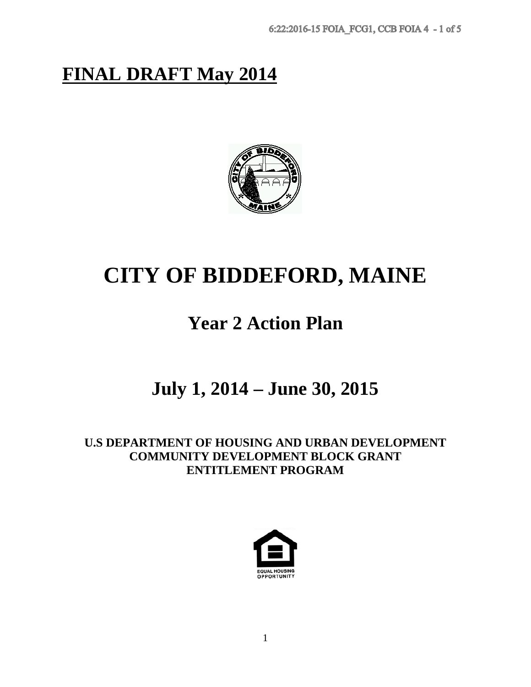# **FINAL DRAFT May 2014**



# **CITY OF BIDDEFORD, MAINE**

# **Year 2 Action Plan**

# **July 1, 2014 – June 30, 2015**

**U.S DEPARTMENT OF HOUSING AND URBAN DEVELOPMENT COMMUNITY DEVELOPMENT BLOCK GRANT ENTITLEMENT PROGRAM**

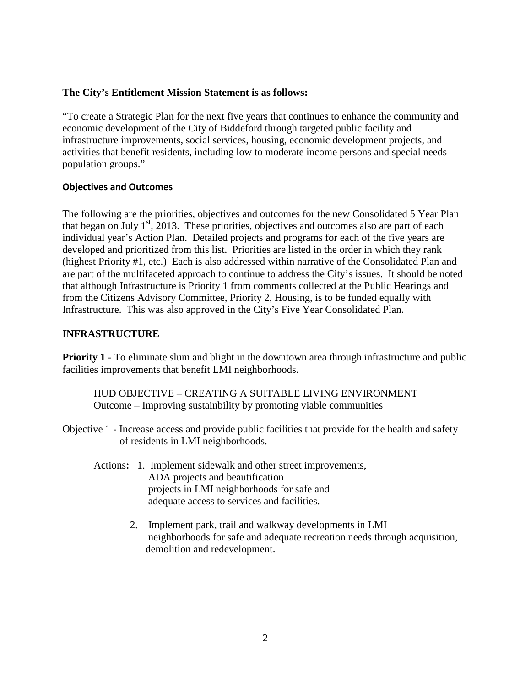#### **The City's Entitlement Mission Statement is as follows:**

"To create a Strategic Plan for the next five years that continues to enhance the community and economic development of the City of Biddeford through targeted public facility and infrastructure improvements, social services, housing, economic development projects, and activities that benefit residents, including low to moderate income persons and special needs population groups."

#### **Objectives and Outcomes**

The following are the priorities, objectives and outcomes for the new Consolidated 5 Year Plan that began on July  $1<sup>st</sup>$ , 2013. These priorities, objectives and outcomes also are part of each individual year's Action Plan. Detailed projects and programs for each of the five years are developed and prioritized from this list. Priorities are listed in the order in which they rank (highest Priority #1, etc.) Each is also addressed within narrative of the Consolidated Plan and are part of the multifaceted approach to continue to address the City's issues. It should be noted that although Infrastructure is Priority 1 from comments collected at the Public Hearings and from the Citizens Advisory Committee, Priority 2, Housing, is to be funded equally with Infrastructure. This was also approved in the City's Five Year Consolidated Plan.

#### **INFRASTRUCTURE**

**Priority 1** - To eliminate slum and blight in the downtown area through infrastructure and public facilities improvements that benefit LMI neighborhoods.

HUD OBJECTIVE – CREATING A SUITABLE LIVING ENVIRONMENT Outcome – Improving sustainbility by promoting viable communities

Objective 1 - Increase access and provide public facilities that provide for the health and safety of residents in LMI neighborhoods.

- Actions**:** 1. Implement sidewalk and other street improvements, ADA projects and beautification projects in LMI neighborhoods for safe and adequate access to services and facilities.
	- 2. Implement park, trail and walkway developments in LMI neighborhoods for safe and adequate recreation needs through acquisition, demolition and redevelopment.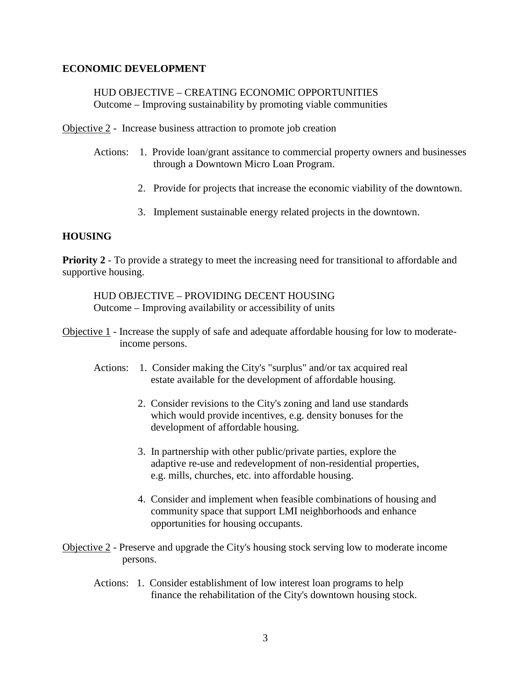#### **ECONOMIC DEVELOPMENT**

HUD OBJECTIVE – CREATING ECONOMIC OPPORTUNITIES Outcome – Improving sustainability by promoting viable communities

Objective 2 - Increase business attraction to promote job creation

- Actions: 1. Provide loan/grant assitance to commercial property owners and businesses through a Downtown Micro Loan Program.
	- 2. Provide for projects that increase the economic viability of the downtown.
	- 3. Implement sustainable energy related projects in the downtown.

#### **HOUSING**

**Priority 2** - To provide a strategy to meet the increasing need for transitional to affordable and supportive housing.

HUD OBJECTIVE – PROVIDING DECENT HOUSING Outcome – Improving availability or accessibility of units

- Objective 1 Increase the supply of safe and adequate affordable housing for low to moderate income persons.
	- Actions: 1. Consider making the City's "surplus" and/or tax acquired real estate available for the development of affordable housing.
		- 2. Consider revisions to the City's zoning and land use standards which would provide incentives, e.g. density bonuses for the development of affordable housing.
		- 3. In partnership with other public/private parties, explore the adaptive re-use and redevelopment of non-residential properties, e.g. mills, churches, etc. into affordable housing.
		- 4. Consider and implement when feasible combinations of housing and community space that support LMI neighborhoods and enhance opportunities for housing occupants.
- Objective 2 Preserve and upgrade the City's housing stock serving low to moderate income persons.
	- Actions: 1. Consider establishment of low interest loan programs to help finance the rehabilitation of the City's downtown housing stock.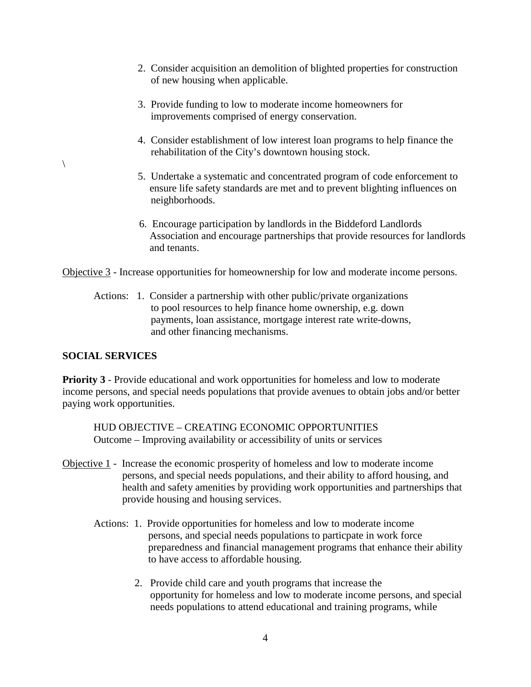- 2. Consider acquisition an demolition of blighted properties for construction of new housing when applicable.
- 3. Provide funding to low to moderate income homeowners for improvements comprised of energy conservation.
- 4. Consider establishment of low interest loan programs to help finance the rehabilitation of the City's downtown housing stock.
- 5. Undertake a systematic and concentrated program of code enforcement to ensure life safety standards are met and to prevent blighting influences on neighborhoods.
- 6. Encourage participation by landlords in the Biddeford Landlords Association and encourage partnerships that provide resources for landlords and tenants.

Objective 3 - Increase opportunities for homeownership for low and moderate income persons.

 Actions: 1. Consider a partnership with other public/private organizations to pool resources to help finance home ownership, e.g. down payments, loan assistance, mortgage interest rate write-downs, and other financing mechanisms.

#### **SOCIAL SERVICES**

 $\setminus$ 

**Priority 3** - Provide educational and work opportunities for homeless and low to moderate income persons, and special needs populations that provide avenues to obtain jobs and/or better paying work opportunities.

HUD OBJECTIVE – CREATING ECONOMIC OPPORTUNITIES Outcome – Improving availability or accessibility of units or services

- Objective 1 Increase the economic prosperity of homeless and low to moderate income persons, and special needs populations, and their ability to afford housing, and health and safety amenities by providing work opportunities and partnerships that provide housing and housing services.
	- Actions: 1. Provide opportunities for homeless and low to moderate income persons, and special needs populations to particpate in work force preparedness and financial management programs that enhance their ability to have access to affordable housing.
		- 2. Provide child care and youth programs that increase the opportunity for homeless and low to moderate income persons, and special needs populations to attend educational and training programs, while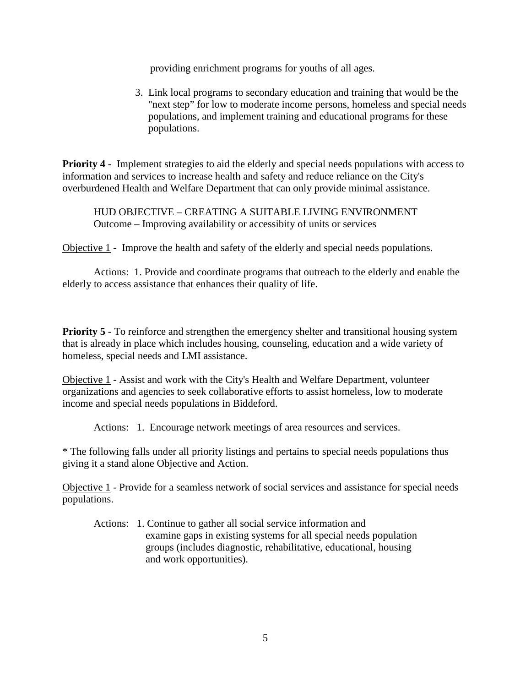providing enrichment programs for youths of all ages.

3. Link local programs to secondary education and training that would be the "next step" for low to moderate income persons, homeless and special needs populations, and implement training and educational programs for these populations.

**Priority 4** - Implement strategies to aid the elderly and special needs populations with access to information and services to increase health and safety and reduce reliance on the City's overburdened Health and Welfare Department that can only provide minimal assistance.

HUD OBJECTIVE – CREATING A SUITABLE LIVING ENVIRONMENT Outcome – Improving availability or accessibity of units or services

Objective 1 - Improve the health and safety of the elderly and special needs populations.

 Actions: 1. Provide and coordinate programs that outreach to the elderly and enable the elderly to access assistance that enhances their quality of life.

**Priority 5** - To reinforce and strengthen the emergency shelter and transitional housing system that is already in place which includes housing, counseling, education and a wide variety of homeless, special needs and LMI assistance.

Objective 1 - Assist and work with the City's Health and Welfare Department, volunteer organizations and agencies to seek collaborative efforts to assist homeless, low to moderate income and special needs populations in Biddeford.

Actions: 1. Encourage network meetings of area resources and services.

\* The following falls under all priority listings and pertains to special needs populations thus giving it a stand alone Objective and Action.

Objective 1 - Provide for a seamless network of social services and assistance for special needs populations.

 Actions: 1. Continue to gather all social service information and examine gaps in existing systems for all special needs population groups (includes diagnostic, rehabilitative, educational, housing and work opportunities).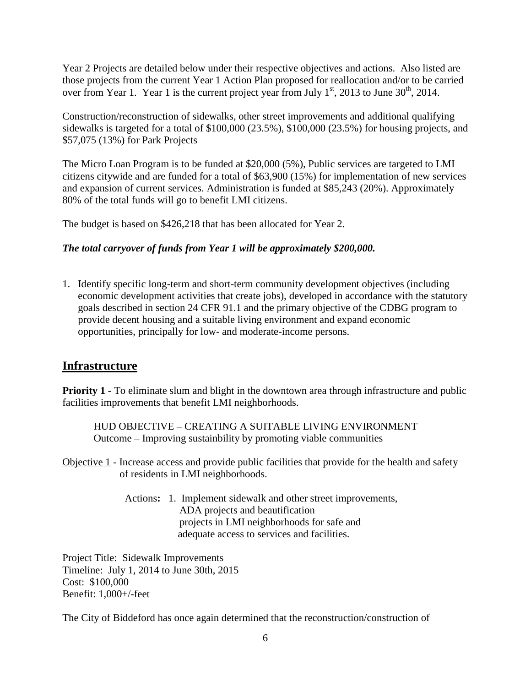Year 2 Projects are detailed below under their respective objectives and actions. Also listed are those projects from the current Year 1 Action Plan proposed for reallocation and/or to be carried over from Year 1. Year 1 is the current project year from July  $1<sup>st</sup>$ , 2013 to June 30<sup>th</sup>, 2014.

Construction/reconstruction of sidewalks, other street improvements and additional qualifying sidewalks is targeted for a total of \$100,000 (23.5%), \$100,000 (23.5%) for housing projects, and \$57,075 (13%) for Park Projects

The Micro Loan Program is to be funded at \$20,000 (5%), Public services are targeted to LMI citizens citywide and are funded for a total of \$63,900 (15%) for implementation of new services and expansion of current services. Administration is funded at \$85,243 (20%). Approximately 80% of the total funds will go to benefit LMI citizens.

The budget is based on \$426,218 that has been allocated for Year 2.

### *The total carryover of funds from Year 1 will be approximately \$200,000.*

1. Identify specific long-term and short-term community development objectives (including economic development activities that create jobs), developed in accordance with the statutory goals described in section 24 CFR 91.1 and the primary objective of the CDBG program to provide decent housing and a suitable living environment and expand economic opportunities, principally for low- and moderate-income persons.

## **Infrastructure**

**Priority 1** - To eliminate slum and blight in the downtown area through infrastructure and public facilities improvements that benefit LMI neighborhoods.

HUD OBJECTIVE – CREATING A SUITABLE LIVING ENVIRONMENT Outcome – Improving sustainbility by promoting viable communities

- Objective 1 Increase access and provide public facilities that provide for the health and safety of residents in LMI neighborhoods.
	- Actions**:** 1. Implement sidewalk and other street improvements, ADA projects and beautification projects in LMI neighborhoods for safe and adequate access to services and facilities.

Project Title: Sidewalk Improvements Timeline: July 1, 2014 to June 30th, 2015 Cost: \$100,000 Benefit: 1,000+/-feet

The City of Biddeford has once again determined that the reconstruction/construction of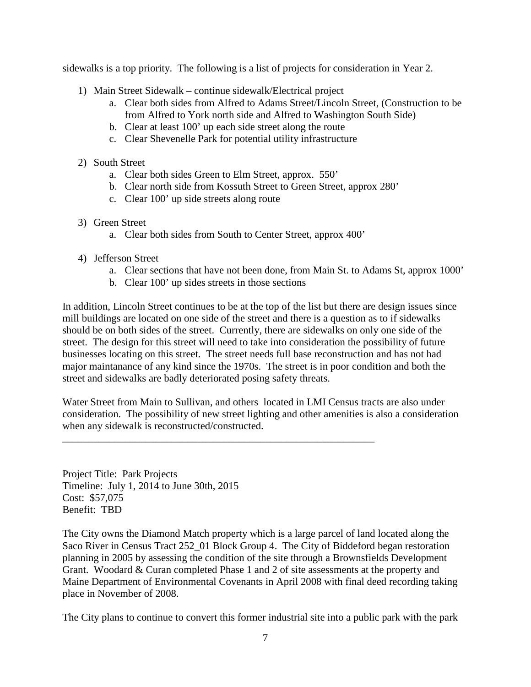sidewalks is a top priority. The following is a list of projects for consideration in Year 2.

- 1) Main Street Sidewalk continue sidewalk/Electrical project
	- a. Clear both sides from Alfred to Adams Street/Lincoln Street, (Construction to be from Alfred to York north side and Alfred to Washington South Side)
	- b. Clear at least 100' up each side street along the route
	- c. Clear Shevenelle Park for potential utility infrastructure
- 2) South Street
	- a. Clear both sides Green to Elm Street, approx. 550'
	- b. Clear north side from Kossuth Street to Green Street, approx 280'
	- c. Clear 100' up side streets along route
- 3) Green Street
	- a. Clear both sides from South to Center Street, approx 400'
- 4) Jefferson Street
	- a. Clear sections that have not been done, from Main St. to Adams St, approx 1000'
	- b. Clear 100' up sides streets in those sections

\_\_\_\_\_\_\_\_\_\_\_\_\_\_\_\_\_\_\_\_\_\_\_\_\_\_\_\_\_\_\_\_\_\_\_\_\_\_\_\_\_\_\_\_\_\_\_\_\_\_\_\_\_\_\_\_\_\_\_\_

In addition, Lincoln Street continues to be at the top of the list but there are design issues since mill buildings are located on one side of the street and there is a question as to if sidewalks should be on both sides of the street. Currently, there are sidewalks on only one side of the street. The design for this street will need to take into consideration the possibility of future businesses locating on this street. The street needs full base reconstruction and has not had major maintanance of any kind since the 1970s. The street is in poor condition and both the street and sidewalks are badly deteriorated posing safety threats.

Water Street from Main to Sullivan, and others located in LMI Census tracts are also under consideration. The possibility of new street lighting and other amenities is also a consideration when any sidewalk is reconstructed/constructed.

Project Title: Park Projects Timeline: July 1, 2014 to June 30th, 2015 Cost: \$57,075 Benefit: TBD

The City owns the Diamond Match property which is a large parcel of land located along the Saco River in Census Tract 252\_01 Block Group 4. The City of Biddeford began restoration planning in 2005 by assessing the condition of the site through a Brownsfields Development Grant. Woodard & Curan completed Phase 1 and 2 of site assessments at the property and Maine Department of Environmental Covenants in April 2008 with final deed recording taking place in November of 2008.

The City plans to continue to convert this former industrial site into a public park with the park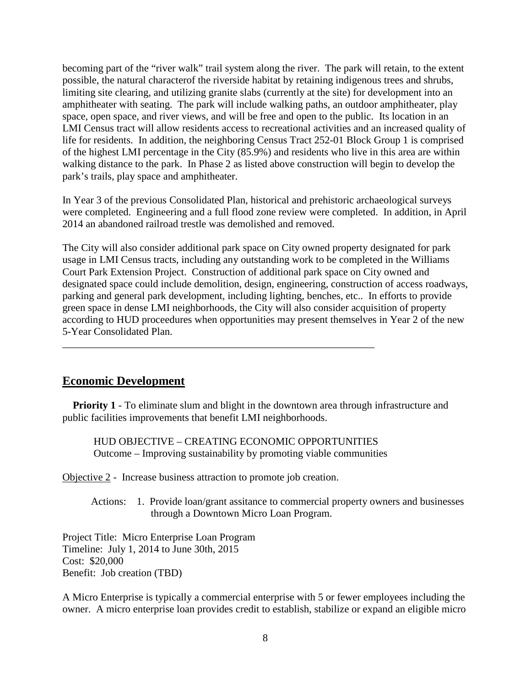becoming part of the "river walk" trail system along the river. The park will retain, to the extent possible, the natural characterof the riverside habitat by retaining indigenous trees and shrubs, limiting site clearing, and utilizing granite slabs (currently at the site) for development into an amphitheater with seating. The park will include walking paths, an outdoor amphitheater, play space, open space, and river views, and will be free and open to the public. Its location in an LMI Census tract will allow residents access to recreational activities and an increased quality of life for residents. In addition, the neighboring Census Tract 252-01 Block Group 1 is comprised of the highest LMI percentage in the City (85.9%) and residents who live in this area are within walking distance to the park. In Phase 2 as listed above construction will begin to develop the park's trails, play space and amphitheater.

In Year 3 of the previous Consolidated Plan, historical and prehistoric archaeological surveys were completed. Engineering and a full flood zone review were completed. In addition, in April 2014 an abandoned railroad trestle was demolished and removed.

The City will also consider additional park space on City owned property designated for park usage in LMI Census tracts, including any outstanding work to be completed in the Williams Court Park Extension Project. Construction of additional park space on City owned and designated space could include demolition, design, engineering, construction of access roadways, parking and general park development, including lighting, benches, etc.. In efforts to provide green space in dense LMI neighborhoods, the City will also consider acquisition of property according to HUD proceedures when opportunities may present themselves in Year 2 of the new 5-Year Consolidated Plan.

## **Economic Development**

**Priority 1** - To eliminate slum and blight in the downtown area through infrastructure and public facilities improvements that benefit LMI neighborhoods.

HUD OBJECTIVE – CREATING ECONOMIC OPPORTUNITIES Outcome – Improving sustainability by promoting viable communities

\_\_\_\_\_\_\_\_\_\_\_\_\_\_\_\_\_\_\_\_\_\_\_\_\_\_\_\_\_\_\_\_\_\_\_\_\_\_\_\_\_\_\_\_\_\_\_\_\_\_\_\_\_\_\_\_\_\_\_\_

Objective 2 - Increase business attraction to promote job creation.

 Actions: 1. Provide loan/grant assitance to commercial property owners and businesses through a Downtown Micro Loan Program.

Project Title: Micro Enterprise Loan Program Timeline: July 1, 2014 to June 30th, 2015 Cost: \$20,000 Benefit: Job creation (TBD)

A Micro Enterprise is typically a commercial enterprise with 5 or fewer employees including the owner. A micro enterprise loan provides credit to establish, stabilize or expand an eligible micro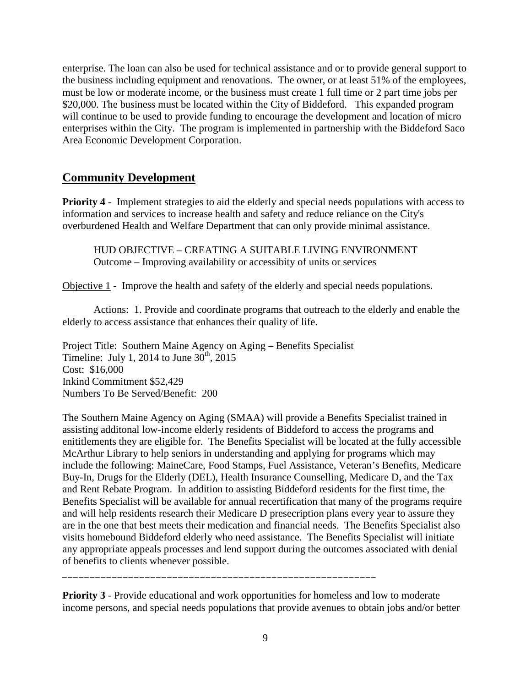enterprise. The loan can also be used for technical assistance and or to provide general support to the business including equipment and renovations. The owner, or at least 51% of the employees, must be low or moderate income, or the business must create 1 full time or 2 part time jobs per \$20,000. The business must be located within the City of Biddeford. This expanded program will continue to be used to provide funding to encourage the development and location of micro enterprises within the City. The program is implemented in partnership with the Biddeford Saco Area Economic Development Corporation.

# **Community Development**

**Priority 4** - Implement strategies to aid the elderly and special needs populations with access to information and services to increase health and safety and reduce reliance on the City's overburdened Health and Welfare Department that can only provide minimal assistance.

HUD OBJECTIVE – CREATING A SUITABLE LIVING ENVIRONMENT Outcome – Improving availability or accessibity of units or services

Objective 1 - Improve the health and safety of the elderly and special needs populations.

 Actions: 1. Provide and coordinate programs that outreach to the elderly and enable the elderly to access assistance that enhances their quality of life.

Project Title: Southern Maine Agency on Aging – Benefits Specialist Timeline: July 1, 2014 to June  $30<sup>th</sup>$ , 2015 Cost: \$16,000 Inkind Commitment \$52,429 Numbers To Be Served/Benefit: 200

The Southern Maine Agency on Aging (SMAA) will provide a Benefits Specialist trained in assisting additonal low-income elderly residents of Biddeford to access the programs and enititlements they are eligible for. The Benefits Specialist will be located at the fully accessible McArthur Library to help seniors in understanding and applying for programs which may include the following: MaineCare, Food Stamps, Fuel Assistance, Veteran's Benefits, Medicare Buy-In, Drugs for the Elderly (DEL), Health Insurance Counselling, Medicare D, and the Tax and Rent Rebate Program. In addition to assisting Biddeford residents for the first time, the Benefits Specialist will be available for annual recertification that many of the programs require and will help residents research their Medicare D presecription plans every year to assure they are in the one that best meets their medication and financial needs. The Benefits Specialist also visits homebound Biddeford elderly who need assistance. The Benefits Specialist will initiate any appropriate appeals processes and lend support during the outcomes associated with denial of benefits to clients whenever possible.

**Priority 3** - Provide educational and work opportunities for homeless and low to moderate income persons, and special needs populations that provide avenues to obtain jobs and/or better

\_\_\_\_\_\_\_\_\_\_\_\_\_\_\_\_\_\_\_\_\_\_\_\_\_\_\_\_\_\_\_\_\_\_\_\_\_\_\_\_\_\_\_\_\_\_\_\_\_\_\_\_\_\_\_\_\_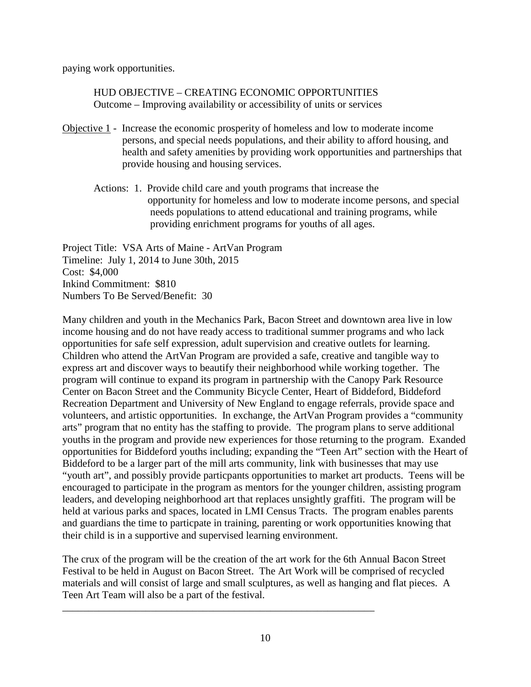paying work opportunities.

HUD OBJECTIVE – CREATING ECONOMIC OPPORTUNITIES Outcome – Improving availability or accessibility of units or services

- Objective 1 Increase the economic prosperity of homeless and low to moderate income persons, and special needs populations, and their ability to afford housing, and health and safety amenities by providing work opportunities and partnerships that provide housing and housing services.
	- Actions: 1. Provide child care and youth programs that increase the opportunity for homeless and low to moderate income persons, and special needs populations to attend educational and training programs, while providing enrichment programs for youths of all ages.

Project Title: VSA Arts of Maine - ArtVan Program Timeline: July 1, 2014 to June 30th, 2015 Cost: \$4,000 Inkind Commitment: \$810 Numbers To Be Served/Benefit: 30

Many children and youth in the Mechanics Park, Bacon Street and downtown area live in low income housing and do not have ready access to traditional summer programs and who lack opportunities for safe self expression, adult supervision and creative outlets for learning. Children who attend the ArtVan Program are provided a safe, creative and tangible way to express art and discover ways to beautify their neighborhood while working together. The program will continue to expand its program in partnership with the Canopy Park Resource Center on Bacon Street and the Community Bicycle Center, Heart of Biddeford, Biddeford Recreation Department and University of New England to engage referrals, provide space and volunteers, and artistic opportunities. In exchange, the ArtVan Program provides a "community arts" program that no entity has the staffing to provide. The program plans to serve additional youths in the program and provide new experiences for those returning to the program. Exanded opportunities for Biddeford youths including; expanding the "Teen Art" section with the Heart of Biddeford to be a larger part of the mill arts community, link with businesses that may use "youth art", and possibly provide particpants opportunities to market art products. Teens will be encouraged to participate in the program as mentors for the younger children, assisting program leaders, and developing neighborhood art that replaces unsightly graffiti. The program will be held at various parks and spaces, located in LMI Census Tracts. The program enables parents and guardians the time to particpate in training, parenting or work opportunities knowing that their child is in a supportive and supervised learning environment.

The crux of the program will be the creation of the art work for the 6th Annual Bacon Street Festival to be held in August on Bacon Street. The Art Work will be comprised of recycled materials and will consist of large and small sculptures, as well as hanging and flat pieces. A Teen Art Team will also be a part of the festival.

\_\_\_\_\_\_\_\_\_\_\_\_\_\_\_\_\_\_\_\_\_\_\_\_\_\_\_\_\_\_\_\_\_\_\_\_\_\_\_\_\_\_\_\_\_\_\_\_\_\_\_\_\_\_\_\_\_\_\_\_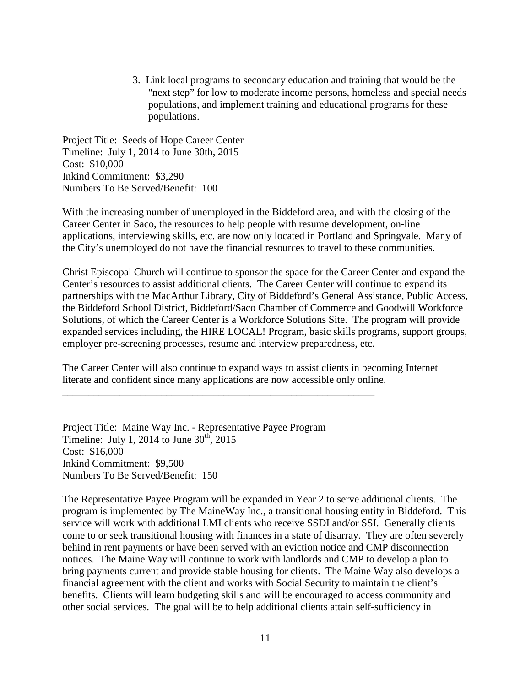3. Link local programs to secondary education and training that would be the "next step" for low to moderate income persons, homeless and special needs populations, and implement training and educational programs for these populations.

Project Title: Seeds of Hope Career Center Timeline: July 1, 2014 to June 30th, 2015 Cost: \$10,000 Inkind Commitment: \$3,290 Numbers To Be Served/Benefit: 100

With the increasing number of unemployed in the Biddeford area, and with the closing of the Career Center in Saco, the resources to help people with resume development, on-line applications, interviewing skills, etc. are now only located in Portland and Springvale. Many of the City's unemployed do not have the financial resources to travel to these communities.

Christ Episcopal Church will continue to sponsor the space for the Career Center and expand the Center's resources to assist additional clients. The Career Center will continue to expand its partnerships with the MacArthur Library, City of Biddeford's General Assistance, Public Access, the Biddeford School District, Biddeford/Saco Chamber of Commerce and Goodwill Workforce Solutions, of which the Career Center is a Workforce Solutions Site. The program will provide expanded services including, the HIRE LOCAL! Program, basic skills programs, support groups, employer pre-screening processes, resume and interview preparedness, etc.

The Career Center will also continue to expand ways to assist clients in becoming Internet literate and confident since many applications are now accessible only online.

Project Title: Maine Way Inc. - Representative Payee Program Timeline: July 1, 2014 to June  $30<sup>th</sup>$ , 2015 Cost: \$16,000 Inkind Commitment: \$9,500 Numbers To Be Served/Benefit: 150

\_\_\_\_\_\_\_\_\_\_\_\_\_\_\_\_\_\_\_\_\_\_\_\_\_\_\_\_\_\_\_\_\_\_\_\_\_\_\_\_\_\_\_\_\_\_\_\_\_\_\_\_\_\_\_\_\_\_\_\_

The Representative Payee Program will be expanded in Year 2 to serve additional clients. The program is implemented by The MaineWay Inc., a transitional housing entity in Biddeford. This service will work with additional LMI clients who receive SSDI and/or SSI. Generally clients come to or seek transitional housing with finances in a state of disarray. They are often severely behind in rent payments or have been served with an eviction notice and CMP disconnection notices. The Maine Way will continue to work with landlords and CMP to develop a plan to bring payments current and provide stable housing for clients. The Maine Way also develops a financial agreement with the client and works with Social Security to maintain the client's benefits. Clients will learn budgeting skills and will be encouraged to access community and other social services. The goal will be to help additional clients attain self-sufficiency in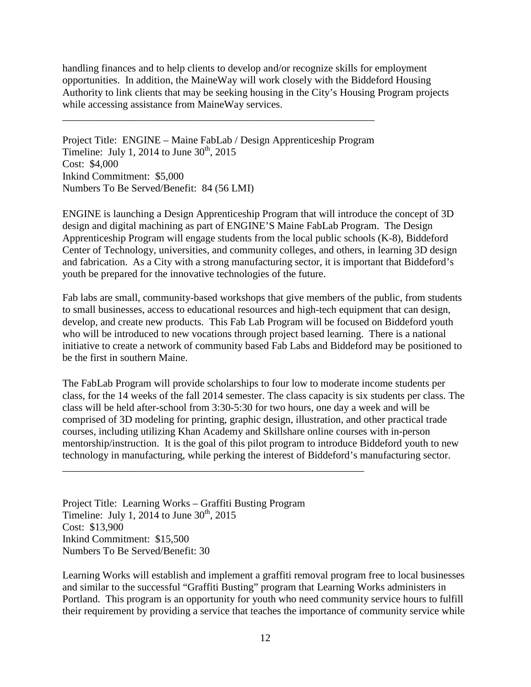handling finances and to help clients to develop and/or recognize skills for employment opportunities. In addition, the MaineWay will work closely with the Biddeford Housing Authority to link clients that may be seeking housing in the City's Housing Program projects while accessing assistance from MaineWay services.

Project Title: ENGINE – Maine FabLab / Design Apprenticeship Program Timeline: July 1, 2014 to June  $30<sup>th</sup>$ , 2015 Cost: \$4,000 Inkind Commitment: \$5,000 Numbers To Be Served/Benefit: 84 (56 LMI)

\_\_\_\_\_\_\_\_\_\_\_\_\_\_\_\_\_\_\_\_\_\_\_\_\_\_\_\_\_\_\_\_\_\_\_\_\_\_\_\_\_\_\_\_\_\_\_\_\_\_\_\_\_\_\_\_\_\_\_\_

ENGINE is launching a Design Apprenticeship Program that will introduce the concept of 3D design and digital machining as part of ENGINE'S Maine FabLab Program. The Design Apprenticeship Program will engage students from the local public schools (K-8), Biddeford Center of Technology, universities, and community colleges, and others, in learning 3D design and fabrication. As a City with a strong manufacturing sector, it is important that Biddeford's youth be prepared for the innovative technologies of the future.

Fab labs are small, community-based workshops that give members of the public, from students to small businesses, access to educational resources and high-tech equipment that can design, develop, and create new products. This Fab Lab Program will be focused on Biddeford youth who will be introduced to new vocations through project based learning. There is a national initiative to create a network of community based Fab Labs and Biddeford may be positioned to be the first in southern Maine.

The FabLab Program will provide scholarships to four low to moderate income students per class, for the 14 weeks of the fall 2014 semester. The class capacity is six students per class. The class will be held after-school from 3:30-5:30 for two hours, one day a week and will be comprised of 3D modeling for printing, graphic design, illustration, and other practical trade courses, including utilizing Khan Academy and Skillshare online courses with in-person mentorship/instruction. It is the goal of this pilot program to introduce Biddeford youth to new technology in manufacturing, while perking the interest of Biddeford's manufacturing sector.

Project Title: Learning Works – Graffiti Busting Program Timeline: July 1, 2014 to June  $30<sup>th</sup>$ , 2015 Cost: \$13,900 Inkind Commitment: \$15,500 Numbers To Be Served/Benefit: 30

\_\_\_\_\_\_\_\_\_\_\_\_\_\_\_\_\_\_\_\_\_\_\_\_\_\_\_\_\_\_\_\_\_\_\_\_\_\_\_\_\_\_\_\_\_\_\_\_\_\_\_\_\_\_\_\_\_\_

Learning Works will establish and implement a graffiti removal program free to local businesses and similar to the successful "Graffiti Busting" program that Learning Works administers in Portland. This program is an opportunity for youth who need community service hours to fulfill their requirement by providing a service that teaches the importance of community service while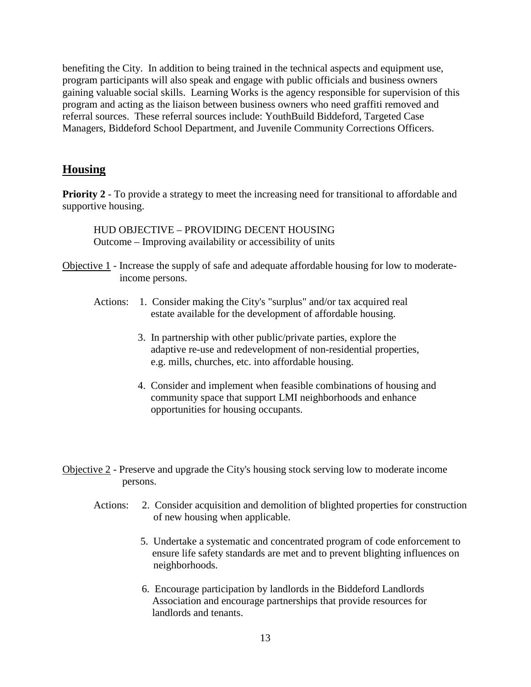benefiting the City. In addition to being trained in the technical aspects and equipment use, program participants will also speak and engage with public officials and business owners gaining valuable social skills. Learning Works is the agency responsible for supervision of this program and acting as the liaison between business owners who need graffiti removed and referral sources. These referral sources include: YouthBuild Biddeford, Targeted Case Managers, Biddeford School Department, and Juvenile Community Corrections Officers.

## **Housing**

**Priority 2** - To provide a strategy to meet the increasing need for transitional to affordable and supportive housing.

HUD OBJECTIVE – PROVIDING DECENT HOUSING Outcome – Improving availability or accessibility of units

- Objective 1 Increase the supply of safe and adequate affordable housing for low to moderate income persons.
	- Actions: 1. Consider making the City's "surplus" and/or tax acquired real estate available for the development of affordable housing.
		- 3. In partnership with other public/private parties, explore the adaptive re-use and redevelopment of non-residential properties, e.g. mills, churches, etc. into affordable housing.
		- 4. Consider and implement when feasible combinations of housing and community space that support LMI neighborhoods and enhance opportunities for housing occupants.
- Objective 2 Preserve and upgrade the City's housing stock serving low to moderate income persons.
	- Actions: 2. Consider acquisition and demolition of blighted properties for construction of new housing when applicable.
		- 5. Undertake a systematic and concentrated program of code enforcement to ensure life safety standards are met and to prevent blighting influences on neighborhoods.
		- 6. Encourage participation by landlords in the Biddeford Landlords Association and encourage partnerships that provide resources for landlords and tenants.